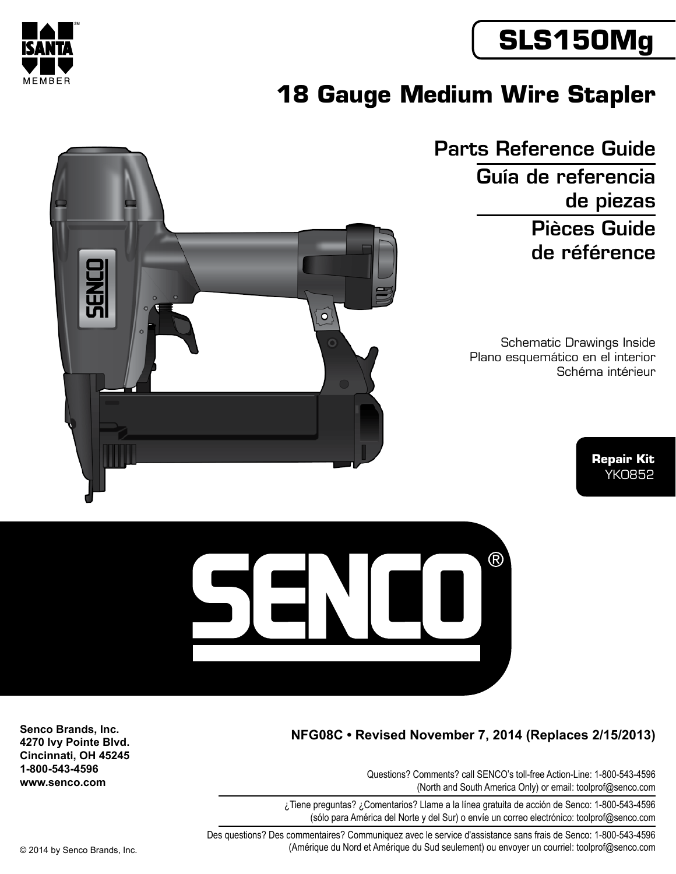



# **18 Gauge Medium Wire Stapler**

Parts Reference Guide Guía de referencia de piezas Pièces Guide de référence

> Schematic Drawings Inside Plano esquemático en el interior Schéma intérieur

> > **Repair Kit** YK0852





### **NFG08C • Revised November 7, 2014 (Replaces 2/15/2013)**

Questions? Comments? call SENCO's toll-free Action-Line: 1-800-543-4596 (North and South America Only) or email: toolprof@senco.com

¿Tiene preguntas? ¿Comentarios? Llame a la línea gratuita de acción de Senco: 1-800-543-4596 (sólo para América del Norte y del Sur) o envíe un correo electrónico: toolprof@senco.com

Des questions? Des commentaires? Communiquez avec le service d'assistance sans frais de Senco: 1-800-543-4596 © 2014 by Senco Brands, Inc. (Amérique du Nord et Amérique du Sud seulement) ou envoyer un courriel: toolprof@senco.com

**Senco Brands, Inc. 4270 Ivy Pointe Blvd. Cincinnati, OH 45245 1-800-543-4596 www.senco.com**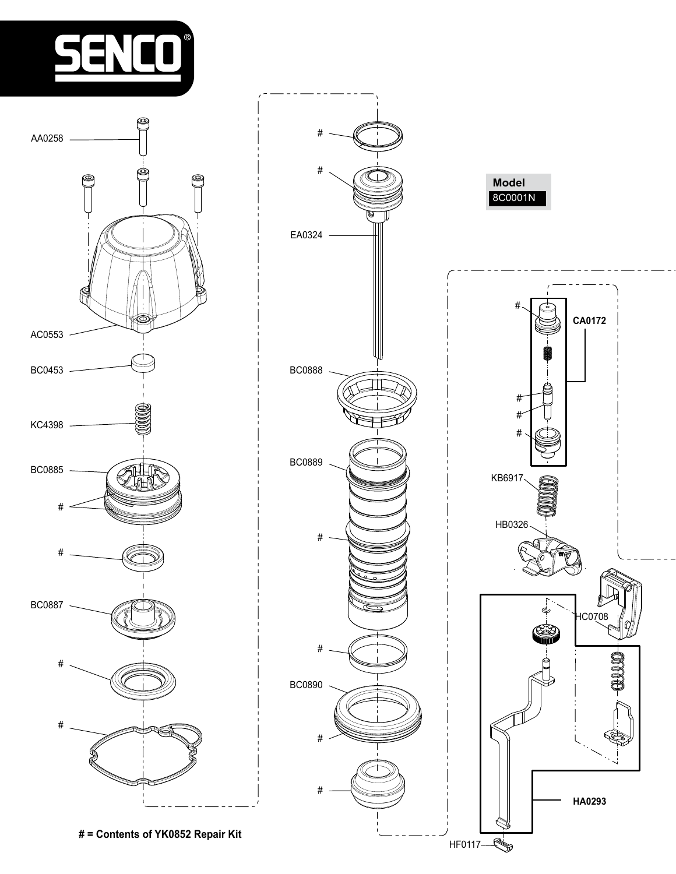





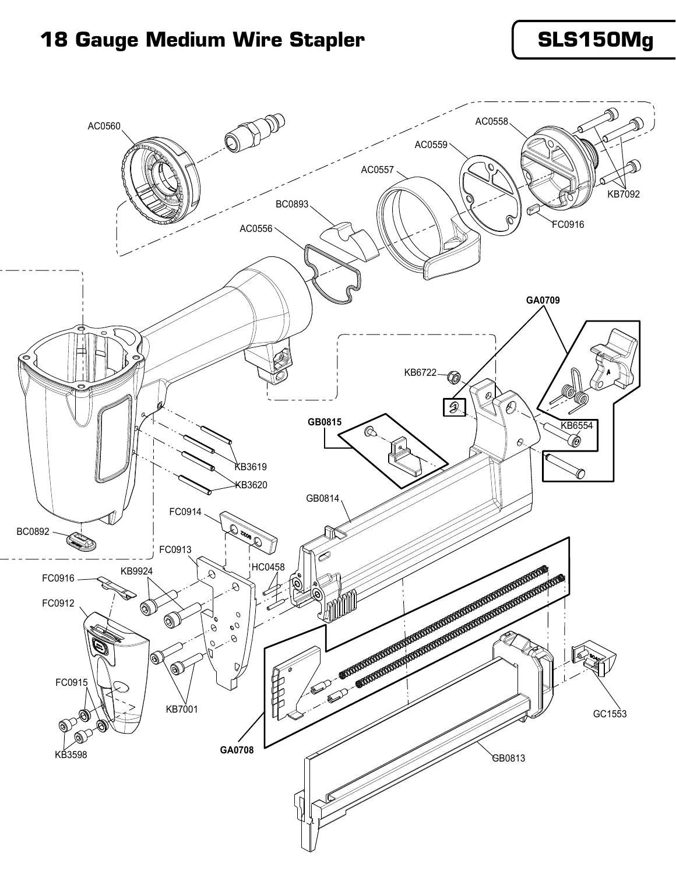## 18 Gauge Medium Wire Stapler **Netwith SLS150Mg**